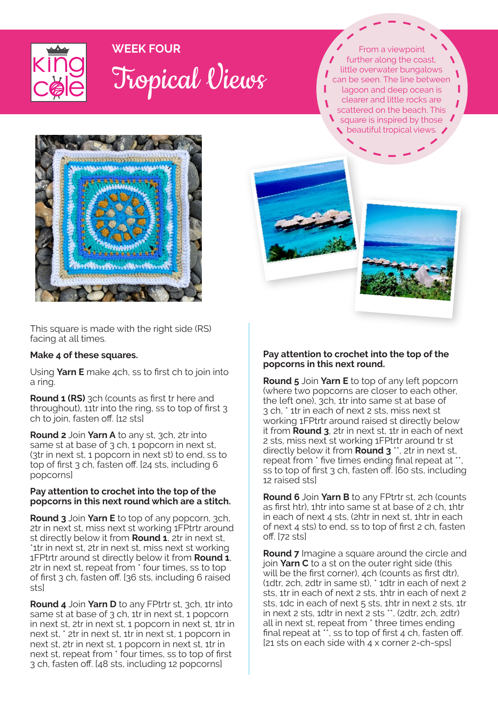

# **WEEK FOUR** Tropical Views

From a viewpoint further along the coast, little overwater bungalows can be seen. The line between lagoon and deep ocean is clearer and little rocks are scattered on the beach. This square is inspired by those beautiful tropical views.



This square is made with the right side (RS) facing at all times.

## **Make 4 of these squares.**

Using **Yarn E** make 4ch, ss to first ch to join into a ring.

**Round 1 (RS)** 3ch (counts as first tr here and throughout), 11tr into the ring, ss to top of first 3 ch to join, fasten off. [12 sts]

**Round 2** Join **Yarn A** to any st, 3ch, 2tr into same st at base of 3 ch, 1 popcorn in next st, (3tr in next st, 1 popcorn in next st) to end, ss to top of first 3 ch, fasten off. [24 sts, including 6 popcorns]

#### **Pay attention to crochet into the top of the popcorns in this next round which are a stitch.**

**Round 3** Join **Yarn E** to top of any popcorn, 3ch, 2tr in next st, miss next st working 1FPtrtr around st directly below it from **Round 1**, 2tr in next st, \*1tr in next st, 2tr in next st, miss next st working 1FPtrtr around st directly below it from **Round 1**, 2tr in next st, repeat from \* four times, ss to top of first 3 ch, fasten off. [36 sts, including 6 raised sts]

**Round 4** Join **Yarn D** to any FPtrtr st, 3ch, 1tr into same st at base of 3 ch, 1tr in next st, 1 popcorn in next st, 2tr in next st, 1 popcorn in next st, 1tr in next st, \* 2tr in next st, 1tr in next st, 1 popcorn in next st, 2tr in next st, 1 popcorn in next st, 1tr in next st, repeat from \* four times, ss to top of first 3 ch, fasten off. [48 sts, including 12 popcorns]

## **Pay attention to crochet into the top of the popcorns in this next round.**

**Round 5** Join **Yarn E** to top of any left popcorn (where two popcorns are closer to each other, the left one), 3ch, 1tr into same st at base of 3 ch, \* 1tr in each of next 2 sts, miss next st working 1FPtrtr around raised st directly below it from **Round 3**, 2tr in next st, 1tr in each of next 2 sts, miss next st working 1FPtrtr around tr st directly below it from **Round 3**  $^{\star}$ , 2tr in next st, repeat from \* five times ending final repeat at \* ss to top of first 3 ch, fasten off. [60 sts, including 12 raised sts]

**Round 6** Join **Yarn B** to any FPtrtr st, 2ch (counts as first htr), 1htr into same st at base of 2 ch, 1htr in each of next 4 sts, (2htr in next st, 1htr in each of next 4 sts) to end, ss to top of first 2 ch, fasten off. [72 sts]

**Round 7** Imagine a square around the circle and join **Yarn C** to a st on the outer right side (this will be the first corner), ach (counts as first dtr). (1dtr, 2ch, 2dtr in same st), \* 1dtr in each of next 2 sts, 1tr in each of next 2 sts, 1htr in each of next 2 sts, 1dc in each of next 5 sts, 1htr in next 2 sts, 1tr in next 2 sts, 1dtr in next 2 sts \*\*, (2dtr, 2ch, 2dtr) all in next st, repeat from \* three times ending final repeat at  $\cdot\cdot$ , ss to top of first 4 ch, fasten off. [21 sts on each side with 4 x corner 2-ch-sps]